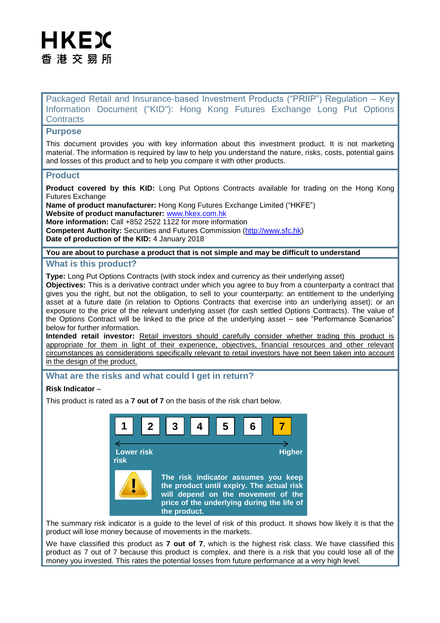# HKEX 香 港 交 易 所

Packaged Retail and Insurance-based Investment Products ("PRIIP") Regulation – Key Information Document ("KID"): Hong Kong Futures Exchange Long Put Options **Contracts** 

## **Purpose**

This document provides you with key information about this investment product. It is not marketing material. The information is required by law to help you understand the nature, risks, costs, potential gains and losses of this product and to help you compare it with other products.

## **Product**

**Product covered by this KID:** Long Put Options Contracts available for trading on the Hong Kong Futures Exchange

**Name of product manufacturer:** Hong Kong Futures Exchange Limited ("HKFE") **Website of product manufacturer:** [www.hkex.com.hk](http://www.hkex.com.hk/) **More information:** Call +852 2522 1122 for more information **Competent Authority:** Securities and Futures Commission [\(http://www.sfc.hk\)](http://www.sfc.hk/)

**Date of production of the KID:** 4 January 2018

## **You are about to purchase a product that is not simple and may be difficult to understand**

### **What is this product?**

**Type:** Long Put Options Contracts (with stock index and currency as their underlying asset) **Objectives:** This is a derivative contract under which you agree to buy from a counterparty a contract that gives you the right, but not the obligation, to sell to your counterparty: an entitlement to the underlying asset at a future date (in relation to Options Contracts that exercise into an underlying asset); or an exposure to the price of the relevant underlying asset (for cash settled Options Contracts). The value of the Options Contract will be linked to the price of the underlying asset – see "Performance Scenarios" below for further information.

**Intended retail investor:** Retail investors should carefully consider whether trading this product is appropriate for them in light of their experience, objectives, financial resources and other relevant circumstances as considerations specifically relevant to retail investors have not been taken into account in the design of the product.

## **What are the risks and what could I get in return?**

### **Risk Indicator** –

This product is rated as a **7 out of 7** on the basis of the risk chart below.



The summary risk indicator is a guide to the level of risk of this product. It shows how likely it is that the product will lose money because of movements in the markets.

We have classified this product as **7 out of 7**, which is the highest risk class. We have classified this product as 7 out of 7 because this product is complex, and there is a risk that you could lose all of the money you invested. This rates the potential losses from future performance at a very high level.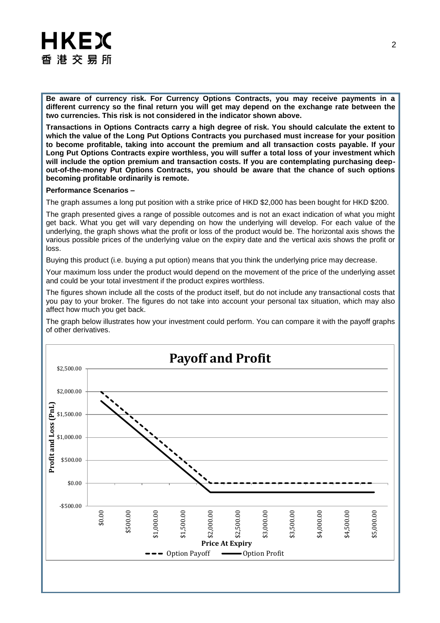# HKEX 香港交易所

**Be aware of currency risk. For Currency Options Contracts, you may receive payments in a different currency so the final return you will get may depend on the exchange rate between the two currencies. This risk is not considered in the indicator shown above.**

**Transactions in Options Contracts carry a high degree of risk. You should calculate the extent to which the value of the Long Put Options Contracts you purchased must increase for your position to become profitable, taking into account the premium and all transaction costs payable. If your Long Put Options Contracts expire worthless, you will suffer a total loss of your investment which will include the option premium and transaction costs. If you are contemplating purchasing deepout-of-the-money Put Options Contracts, you should be aware that the chance of such options becoming profitable ordinarily is remote.**

#### **Performance Scenarios –**

The graph assumes a long put position with a strike price of HKD \$2,000 has been bought for HKD \$200.

The graph presented gives a range of possible outcomes and is not an exact indication of what you might get back. What you get will vary depending on how the underlying will develop. For each value of the underlying, the graph shows what the profit or loss of the product would be. The horizontal axis shows the various possible prices of the underlying value on the expiry date and the vertical axis shows the profit or loss.

Buying this product (i.e. buying a put option) means that you think the underlying price may decrease.

Your maximum loss under the product would depend on the movement of the price of the underlying asset and could be your total investment if the product expires worthless.

The figures shown include all the costs of the product itself, but do not include any transactional costs that you pay to your broker. The figures do not take into account your personal tax situation, which may also affect how much you get back.

The graph below illustrates how your investment could perform. You can compare it with the payoff graphs of other derivatives.